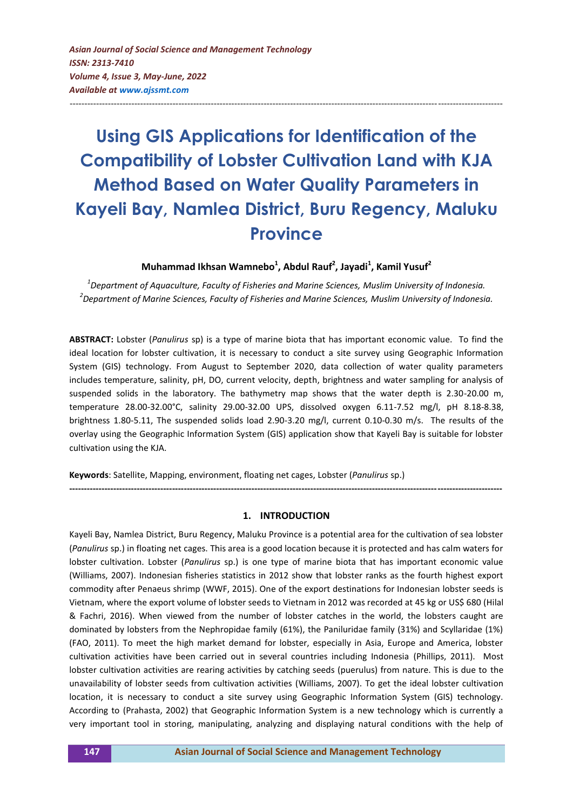*Asian Journal of Social Science and Management Technology ISSN: 2313-7410 Volume 4, Issue 3, May-June, 2022 Available at<www.ajssmt.com>*

# **Using GIS Applications for Identification of the Compatibility of Lobster Cultivation Land with KJA Method Based on Water Quality Parameters in Kayeli Bay, Namlea District, Buru Regency, Maluku Province**

---------------------------------------------------------------------------------------------------------------------------------------------------

# **Muhammad Ikhsan Wamnebo<sup>1</sup> , Abdul Rauf<sup>2</sup> , Jayadi<sup>1</sup> , Kamil Yusuf<sup>2</sup>**

*1 Department of Aquaculture, Faculty of Fisheries and Marine Sciences, Muslim University of Indonesia. 2 Department of Marine Sciences, Faculty of Fisheries and Marine Sciences, Muslim University of Indonesia.*

**ABSTRACT:** Lobster (*Panulirus* sp) is a type of marine biota that has important economic value. To find the ideal location for lobster cultivation, it is necessary to conduct a site survey using Geographic Information System (GIS) technology. From August to September 2020, data collection of water quality parameters includes temperature, salinity, pH, DO, current velocity, depth, brightness and water sampling for analysis of suspended solids in the laboratory. The bathymetry map shows that the water depth is 2.30-20.00 m, temperature 28.00-32.00°C, salinity 29.00-32.00 UPS, dissolved oxygen 6.11-7.52 mg/l, pH 8.18-8.38, brightness 1.80-5.11, The suspended solids load 2.90-3.20 mg/l, current 0.10-0.30 m/s. The results of the overlay using the Geographic Information System (GIS) application show that Kayeli Bay is suitable for lobster cultivation using the KJA.

**Keywords**: Satellite, Mapping, environment, floating net cages, Lobster (*Panulirus* sp.)

#### **1. INTRODUCTION**

**---------------------------------------------------------------------------------------------------------------------------------------------------**

Kayeli Bay, Namlea District, Buru Regency, Maluku Province is a potential area for the cultivation of sea lobster (*Panulirus* sp.) in floating net cages. This area is a good location because it is protected and has calm waters for lobster cultivation. Lobster (*Panulirus* sp.) is one type of marine biota that has important economic value (Williams, 2007). Indonesian fisheries statistics in 2012 show that lobster ranks as the fourth highest export commodity after Penaeus shrimp (WWF, 2015). One of the export destinations for Indonesian lobster seeds is Vietnam, where the export volume of lobster seeds to Vietnam in 2012 was recorded at 45 kg or US\$ 680 (Hilal & Fachri, 2016). When viewed from the number of lobster catches in the world, the lobsters caught are dominated by lobsters from the Nephropidae family (61%), the Paniluridae family (31%) and Scyllaridae (1%) (FAO, 2011). To meet the high market demand for lobster, especially in Asia, Europe and America, lobster cultivation activities have been carried out in several countries including Indonesia (Phillips, 2011). Most lobster cultivation activities are rearing activities by catching seeds (puerulus) from nature. This is due to the unavailability of lobster seeds from cultivation activities (Williams, 2007). To get the ideal lobster cultivation location, it is necessary to conduct a site survey using Geographic Information System (GIS) technology. According to (Prahasta, 2002) that Geographic Information System is a new technology which is currently a very important tool in storing, manipulating, analyzing and displaying natural conditions with the help of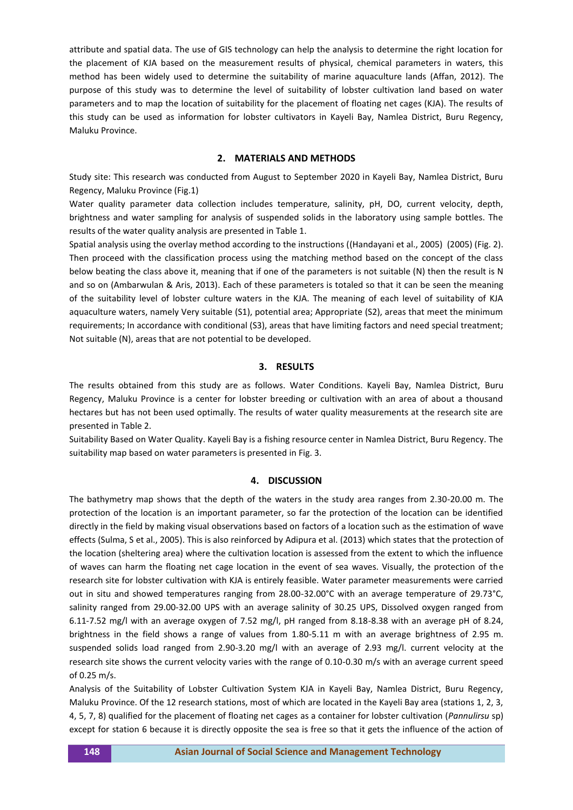attribute and spatial data. The use of GIS technology can help the analysis to determine the right location for the placement of KJA based on the measurement results of physical, chemical parameters in waters, this method has been widely used to determine the suitability of marine aquaculture lands (Affan, 2012). The purpose of this study was to determine the level of suitability of lobster cultivation land based on water parameters and to map the location of suitability for the placement of floating net cages (KJA). The results of this study can be used as information for lobster cultivators in Kayeli Bay, Namlea District, Buru Regency, Maluku Province.

#### **2. MATERIALS AND METHODS**

Study site: This research was conducted from August to September 2020 in Kayeli Bay, Namlea District, Buru Regency, Maluku Province (Fig.1)

Water quality parameter data collection includes temperature, salinity, pH, DO, current velocity, depth, brightness and water sampling for analysis of suspended solids in the laboratory using sample bottles. The results of the water quality analysis are presented in Table 1.

Spatial analysis using the overlay method according to the instructions ((Handayani et al., 2005) (2005) (Fig. 2). Then proceed with the classification process using the matching method based on the concept of the class below beating the class above it, meaning that if one of the parameters is not suitable (N) then the result is N and so on (Ambarwulan & Aris, 2013). Each of these parameters is totaled so that it can be seen the meaning of the suitability level of lobster culture waters in the KJA. The meaning of each level of suitability of KJA aquaculture waters, namely Very suitable (S1), potential area; Appropriate (S2), areas that meet the minimum requirements; In accordance with conditional (S3), areas that have limiting factors and need special treatment; Not suitable (N), areas that are not potential to be developed.

#### **3. RESULTS**

The results obtained from this study are as follows. Water Conditions. Kayeli Bay, Namlea District, Buru Regency, Maluku Province is a center for lobster breeding or cultivation with an area of about a thousand hectares but has not been used optimally. The results of water quality measurements at the research site are presented in Table 2.

Suitability Based on Water Quality. Kayeli Bay is a fishing resource center in Namlea District, Buru Regency. The suitability map based on water parameters is presented in Fig. 3.

### **4. DISCUSSION**

The bathymetry map shows that the depth of the waters in the study area ranges from 2.30-20.00 m. The protection of the location is an important parameter, so far the protection of the location can be identified directly in the field by making visual observations based on factors of a location such as the estimation of wave effects (Sulma, S et al., 2005). This is also reinforced by Adipura et al. (2013) which states that the protection of the location (sheltering area) where the cultivation location is assessed from the extent to which the influence of waves can harm the floating net cage location in the event of sea waves. Visually, the protection of the research site for lobster cultivation with KJA is entirely feasible. Water parameter measurements were carried out in situ and showed temperatures ranging from 28.00-32.00°C with an average temperature of 29.73°C, salinity ranged from 29.00-32.00 UPS with an average salinity of 30.25 UPS, Dissolved oxygen ranged from 6.11-7.52 mg/l with an average oxygen of 7.52 mg/l, pH ranged from 8.18-8.38 with an average pH of 8.24, brightness in the field shows a range of values from 1.80-5.11 m with an average brightness of 2.95 m. suspended solids load ranged from 2.90-3.20 mg/l with an average of 2.93 mg/l. current velocity at the research site shows the current velocity varies with the range of 0.10-0.30 m/s with an average current speed of 0.25 m/s.

Analysis of the Suitability of Lobster Cultivation System KJA in Kayeli Bay, Namlea District, Buru Regency, Maluku Province. Of the 12 research stations, most of which are located in the Kayeli Bay area (stations 1, 2, 3, 4, 5, 7, 8) qualified for the placement of floating net cages as a container for lobster cultivation (*Pannulirsu* sp) except for station 6 because it is directly opposite the sea is free so that it gets the influence of the action of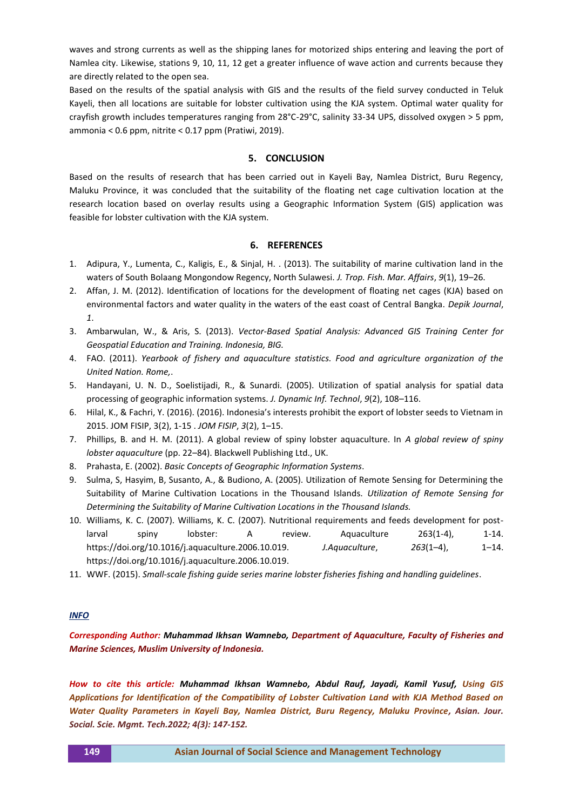waves and strong currents as well as the shipping lanes for motorized ships entering and leaving the port of Namlea city. Likewise, stations 9, 10, 11, 12 get a greater influence of wave action and currents because they are directly related to the open sea.

Based on the results of the spatial analysis with GIS and the results of the field survey conducted in Teluk Kayeli, then all locations are suitable for lobster cultivation using the KJA system. Optimal water quality for crayfish growth includes temperatures ranging from 28°C-29°C, salinity 33-34 UPS, dissolved oxygen > 5 ppm, ammonia < 0.6 ppm, nitrite < 0.17 ppm (Pratiwi, 2019).

#### **5. CONCLUSION**

Based on the results of research that has been carried out in Kayeli Bay, Namlea District, Buru Regency, Maluku Province, it was concluded that the suitability of the floating net cage cultivation location at the research location based on overlay results using a Geographic Information System (GIS) application was feasible for lobster cultivation with the KJA system.

#### **6. REFERENCES**

- 1. Adipura, Y., Lumenta, C., Kaligis, E., & Sinjal, H. . (2013). The suitability of marine cultivation land in the waters of South Bolaang Mongondow Regency, North Sulawesi. *J. Trop. Fish. Mar. Affairs*, *9*(1), 19–26.
- 2. Affan, J. M. (2012). Identification of locations for the development of floating net cages (KJA) based on environmental factors and water quality in the waters of the east coast of Central Bangka. *Depik Journal*, *1*.
- 3. Ambarwulan, W., & Aris, S. (2013). *Vector-Based Spatial Analysis: Advanced GIS Training Center for Geospatial Education and Training. Indonesia, BIG.*
- 4. FAO. (2011). *Yearbook of fishery and aquaculture statistics. Food and agriculture organization of the United Nation. Rome,*.
- 5. Handayani, U. N. D., Soelistijadi, R., & Sunardi. (2005). Utilization of spatial analysis for spatial data processing of geographic information systems. *J. Dynamic Inf. Technol*, *9*(2), 108–116.
- 6. Hilal, K., & Fachri, Y. (2016). (2016). Indonesia's interests prohibit the export of lobster seeds to Vietnam in 2015. JOM FISIP, 3(2), 1-15 . *JOM FISIP*, *3*(2), 1–15.
- 7. Phillips, B. and H. M. (2011). A global review of spiny lobster aquaculture. In *A global review of spiny lobster aquaculture* (pp. 22–84). Blackwell Publishing Ltd., UK.
- 8. Prahasta, E. (2002). *Basic Concepts of Geographic Information Systems*.
- 9. Sulma, S, Hasyim, B, Susanto, A., & Budiono, A. (2005). Utilization of Remote Sensing for Determining the Suitability of Marine Cultivation Locations in the Thousand Islands. *Utilization of Remote Sensing for Determining the Suitability of Marine Cultivation Locations in the Thousand Islands.*
- 10. Williams, K. C. (2007). Williams, K. C. (2007). Nutritional requirements and feeds development for postlarval spiny lobster: A review. Aquaculture 263(1-4), 1-14. https://doi.org/10.1016/j.aquaculture.2006.10.019. *J.Aquaculture*, *263*(1–4), 1–14. https://doi.org/10.1016/j.aquaculture.2006.10.019.
- 11. WWF. (2015). *Small-scale fishing guide series marine lobster fisheries fishing and handling guidelines*.

## *INFO*

*Corresponding Author: Muhammad Ikhsan Wamnebo, Department of Aquaculture, Faculty of Fisheries and Marine Sciences, Muslim University of Indonesia.*

*How to cite this article: Muhammad Ikhsan Wamnebo, Abdul Rauf, Jayadi, Kamil Yusuf, Using GIS Applications for Identification of the Compatibility of Lobster Cultivation Land with KJA Method Based on Water Quality Parameters in Kayeli Bay, Namlea District, Buru Regency, Maluku Province, Asian. Jour. Social. Scie. Mgmt. Tech.2022; 4(3): 147-152.*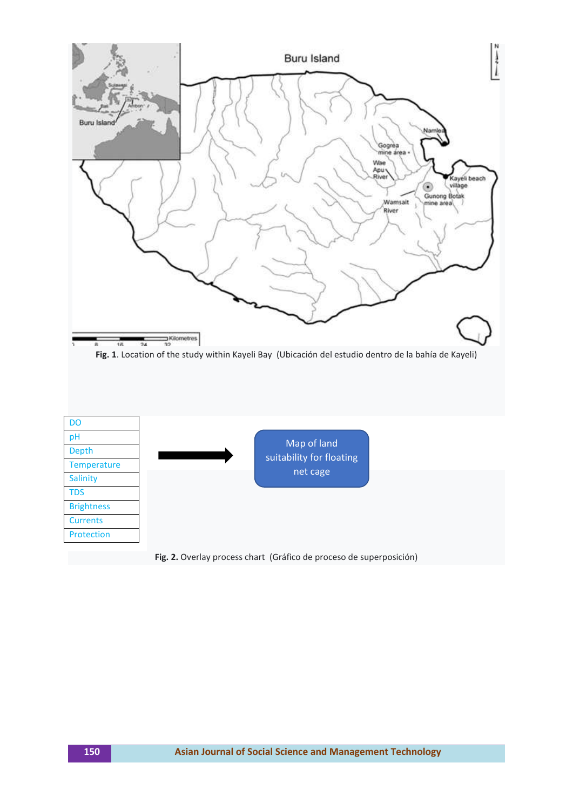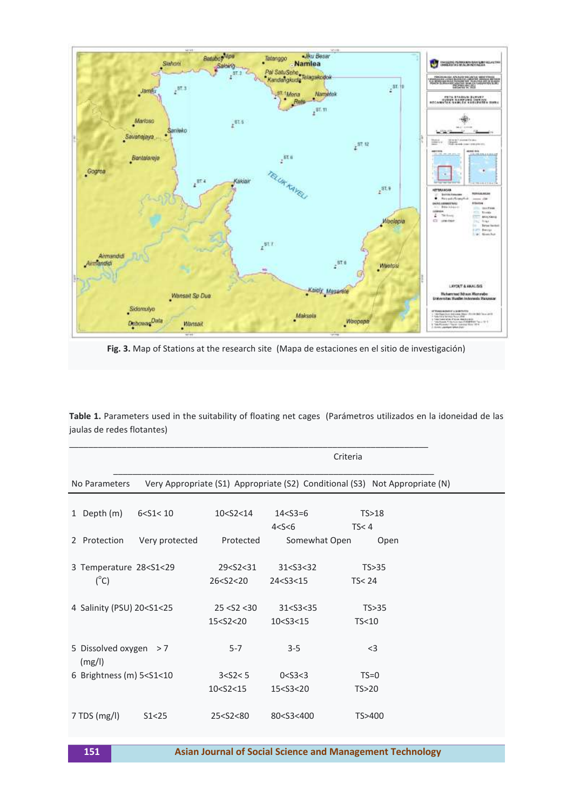

**Fig. 3.** Map of Stations at the research site (Mapa de estaciones en el sitio de investigación)

**Table 1.** Parameters used in the suitability of floating net cages (Parámetros utilizados en la idoneidad de las jaulas de redes flotantes)

| Criteria |                                                                                                                                                                                                                        |                |                                                                                                                                                       |                                                                                            |                             |  |  |  |
|----------|------------------------------------------------------------------------------------------------------------------------------------------------------------------------------------------------------------------------|----------------|-------------------------------------------------------------------------------------------------------------------------------------------------------|--------------------------------------------------------------------------------------------|-----------------------------|--|--|--|
|          | Very Appropriate (S1) Appropriate (S2) Conditional (S3) Not Appropriate (N)<br>No Parameters                                                                                                                           |                |                                                                                                                                                       |                                                                                            |                             |  |  |  |
|          | 1 Depth (m)                                                                                                                                                                                                            | 6 < S1 < 10    | 10 < S2 < 14                                                                                                                                          | $14 < S3 = 6$<br>4 < S < 6                                                                 | TS>18<br>TS < 4             |  |  |  |
|          | 2 Protection                                                                                                                                                                                                           | Very protected | Protected                                                                                                                                             | Somewhat Open                                                                              | Open                        |  |  |  |
|          | 3 Temperature 28 <s1<29<br><math>(^{\circ}C)</math></s1<29<br>                                                                                                                                                         |                | 29 <s2<31<br>26<s2<20< td=""><td>31 &lt; S3 &lt; 32<br/>24<s3<15< td=""><td>TS &gt; 35<br/>TS &lt; 24</td><td></td></s3<15<></td></s2<20<></s2<31<br> | 31 < S3 < 32<br>24 <s3<15< td=""><td>TS &gt; 35<br/>TS &lt; 24</td><td></td></s3<15<>      | TS > 35<br>TS < 24          |  |  |  |
|          | 4 Salinity (PSU) 20 <s1<25< td=""><td></td><td>25 &lt; S2 &lt; 30<br/>15<s2<20< td=""><td>31 &lt; S3 &lt; 35<br/>10<s3<15< td=""><td>TS &gt; 35<br/>TS<sub>10</sub></td><td></td></s3<15<></td></s2<20<></td></s1<25<> |                | 25 < S2 < 30<br>15 <s2<20< td=""><td>31 &lt; S3 &lt; 35<br/>10<s3<15< td=""><td>TS &gt; 35<br/>TS<sub>10</sub></td><td></td></s3<15<></td></s2<20<>   | 31 < S3 < 35<br>10 <s3<15< td=""><td>TS &gt; 35<br/>TS<sub>10</sub></td><td></td></s3<15<> | TS > 35<br>TS <sub>10</sub> |  |  |  |
|          | 5 Dissolved oxygen > 7<br>(mg/l)                                                                                                                                                                                       |                | $5 - 7$                                                                                                                                               | $3 - 5$                                                                                    | $<$ 3                       |  |  |  |
|          | 6 Brightness (m) 5 <s1<10< td=""><td>3 &lt; S2 &lt; 5</td><td>0 &lt; S3 &lt; 3</td><td><math>TS=0</math></td><td></td></s1<10<>                                                                                        |                | 3 < S2 < 5                                                                                                                                            | 0 < S3 < 3                                                                                 | $TS=0$                      |  |  |  |
|          |                                                                                                                                                                                                                        |                | 10 <s2<15< td=""><td>15<s3<20< td=""><td>TS &gt; 20</td><td></td></s3<20<></td></s2<15<>                                                              | 15 <s3<20< td=""><td>TS &gt; 20</td><td></td></s3<20<>                                     | TS > 20                     |  |  |  |
|          | $7$ TDS (mg/l)                                                                                                                                                                                                         | S1<25          | 25 <s2<80< td=""><td>80<s3<400< td=""><td>TS&gt;400</td><td></td></s3<400<></td></s2<80<>                                                             | 80 <s3<400< td=""><td>TS&gt;400</td><td></td></s3<400<>                                    | TS>400                      |  |  |  |

**151 [Asian Journal of Social Science and Management Technology](http://www.ajssmt.com/)**